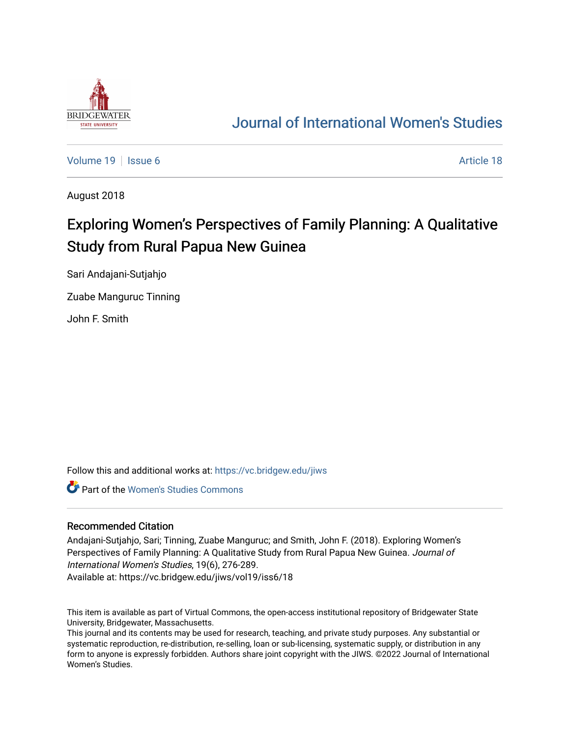

## [Journal of International Women's Studies](https://vc.bridgew.edu/jiws)

[Volume 19](https://vc.bridgew.edu/jiws/vol19) | [Issue 6](https://vc.bridgew.edu/jiws/vol19/iss6) Article 18

August 2018

# Exploring Women's Perspectives of Family Planning: A Qualitative Study from Rural Papua New Guinea

Sari Andajani-Sutjahjo

Zuabe Manguruc Tinning

John F. Smith

Follow this and additional works at: [https://vc.bridgew.edu/jiws](https://vc.bridgew.edu/jiws?utm_source=vc.bridgew.edu%2Fjiws%2Fvol19%2Fiss6%2F18&utm_medium=PDF&utm_campaign=PDFCoverPages)

**Part of the Women's Studies Commons** 

#### Recommended Citation

Andajani-Sutjahjo, Sari; Tinning, Zuabe Manguruc; and Smith, John F. (2018). Exploring Women's Perspectives of Family Planning: A Qualitative Study from Rural Papua New Guinea. Journal of International Women's Studies, 19(6), 276-289.

Available at: https://vc.bridgew.edu/jiws/vol19/iss6/18

This item is available as part of Virtual Commons, the open-access institutional repository of Bridgewater State University, Bridgewater, Massachusetts.

This journal and its contents may be used for research, teaching, and private study purposes. Any substantial or systematic reproduction, re-distribution, re-selling, loan or sub-licensing, systematic supply, or distribution in any form to anyone is expressly forbidden. Authors share joint copyright with the JIWS. ©2022 Journal of International Women's Studies.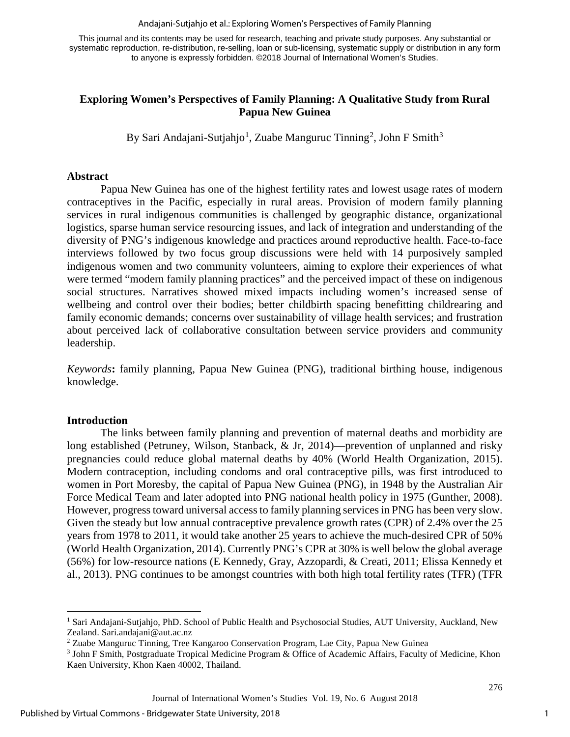Andajani-Sutjahjo et al.: Exploring Women's Perspectives of Family Planning

This journal and its contents may be used for research, teaching and private study purposes. Any substantial or systematic reproduction, re-distribution, re-selling, loan or sub-licensing, systematic supply or distribution in any form to anyone is expressly forbidden. ©2018 Journal of International Women's Studies.

### **Exploring Women's Perspectives of Family Planning: A Qualitative Study from Rural Papua New Guinea**

By Sari Andajani-Sutjahjo<sup>[1](#page-1-0)</sup>, Zuabe Manguruc Tinning<sup>[2](#page-1-1)</sup>, John F Smith<sup>[3](#page-1-2)</sup>

#### **Abstract**

Papua New Guinea has one of the highest fertility rates and lowest usage rates of modern contraceptives in the Pacific, especially in rural areas. Provision of modern family planning services in rural indigenous communities is challenged by geographic distance, organizational logistics, sparse human service resourcing issues, and lack of integration and understanding of the diversity of PNG's indigenous knowledge and practices around reproductive health. Face-to-face interviews followed by two focus group discussions were held with 14 purposively sampled indigenous women and two community volunteers, aiming to explore their experiences of what were termed "modern family planning practices" and the perceived impact of these on indigenous social structures. Narratives showed mixed impacts including women's increased sense of wellbeing and control over their bodies; better childbirth spacing benefitting childrearing and family economic demands; concerns over sustainability of village health services; and frustration about perceived lack of collaborative consultation between service providers and community leadership.

*Keywords***:** family planning, Papua New Guinea (PNG), traditional birthing house, indigenous knowledge.

#### **Introduction**

 $\overline{\phantom{a}}$ 

The links between family planning and prevention of maternal deaths and morbidity are long established (Petruney, Wilson, Stanback, & Jr, 2014)—prevention of unplanned and risky pregnancies could reduce global maternal deaths by 40% (World Health Organization, 2015). Modern contraception, including condoms and oral contraceptive pills, was first introduced to women in Port Moresby, the capital of Papua New Guinea (PNG), in 1948 by the Australian Air Force Medical Team and later adopted into PNG national health policy in 1975 (Gunther, 2008). However, progress toward universal access to family planning services in PNG has been very slow. Given the steady but low annual contraceptive prevalence growth rates (CPR) of 2.4% over the 25 years from 1978 to 2011, it would take another 25 years to achieve the much-desired CPR of 50% (World Health Organization, 2014). Currently PNG's CPR at 30% is well below the global average (56%) for low-resource nations (E Kennedy, Gray, Azzopardi, & Creati, 2011; Elissa Kennedy et al., 2013). PNG continues to be amongst countries with both high total fertility rates (TFR) (TFR

<span id="page-1-0"></span><sup>&</sup>lt;sup>1</sup> Sari Andajani-Sutjahjo, PhD. School of Public Health and Psychosocial Studies, AUT University, Auckland, New Zealand. Sari.andajani@aut.ac.nz

<sup>2</sup> Zuabe Manguruc Tinning, Tree Kangaroo Conservation Program, Lae City, Papua New Guinea

<span id="page-1-2"></span><span id="page-1-1"></span><sup>3</sup> John F Smith, Postgraduate Tropical Medicine Program & Office of Academic Affairs, Faculty of Medicine, Khon Kaen University, Khon Kaen 40002, Thailand.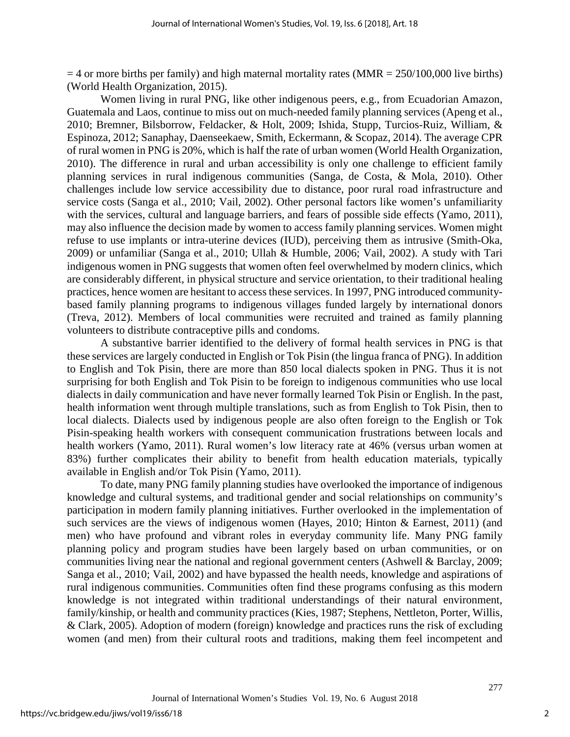$=$  4 or more births per family) and high maternal mortality rates (MMR  $=$  250/100,000 live births) (World Health Organization, 2015).

Women living in rural PNG, like other indigenous peers, e.g., from Ecuadorian Amazon, Guatemala and Laos, continue to miss out on much-needed family planning services (Apeng et al., 2010; Bremner, Bilsborrow, Feldacker, & Holt, 2009; Ishida, Stupp, Turcios-Ruiz, William, & Espinoza, 2012; Sanaphay, Daenseekaew, Smith, Eckermann, & Scopaz, 2014). The average CPR of rural women in PNG is 20%, which is half the rate of urban women (World Health Organization, 2010). The difference in rural and urban accessibility is only one challenge to efficient family planning services in rural indigenous communities (Sanga, de Costa, & Mola, 2010). Other challenges include low service accessibility due to distance, poor rural road infrastructure and service costs (Sanga et al., 2010; Vail, 2002). Other personal factors like women's unfamiliarity with the services, cultural and language barriers, and fears of possible side effects (Yamo, 2011), may also influence the decision made by women to access family planning services. Women might refuse to use implants or intra-uterine devices (IUD), perceiving them as intrusive (Smith-Oka, 2009) or unfamiliar (Sanga et al., 2010; Ullah & Humble, 2006; Vail, 2002). A study with Tari indigenous women in PNG suggests that women often feel overwhelmed by modern clinics, which are considerably different, in physical structure and service orientation, to their traditional healing practices, hence women are hesitant to access these services. In 1997, PNG introduced communitybased family planning programs to indigenous villages funded largely by international donors (Treva, 2012). Members of local communities were recruited and trained as family planning volunteers to distribute contraceptive pills and condoms.

A substantive barrier identified to the delivery of formal health services in PNG is that these services are largely conducted in English or Tok Pisin (the lingua franca of PNG). In addition to English and Tok Pisin, there are more than 850 local dialects spoken in PNG. Thus it is not surprising for both English and Tok Pisin to be foreign to indigenous communities who use local dialects in daily communication and have never formally learned Tok Pisin or English. In the past, health information went through multiple translations, such as from English to Tok Pisin, then to local dialects. Dialects used by indigenous people are also often foreign to the English or Tok Pisin-speaking health workers with consequent communication frustrations between locals and health workers (Yamo, 2011). Rural women's low literacy rate at 46% (versus urban women at 83%) further complicates their ability to benefit from health education materials, typically available in English and/or Tok Pisin (Yamo, 2011).

To date, many PNG family planning studies have overlooked the importance of indigenous knowledge and cultural systems, and traditional gender and social relationships on community's participation in modern family planning initiatives. Further overlooked in the implementation of such services are the views of indigenous women (Hayes, 2010; Hinton & Earnest, 2011) (and men) who have profound and vibrant roles in everyday community life. Many PNG family planning policy and program studies have been largely based on urban communities, or on communities living near the national and regional government centers (Ashwell & Barclay, 2009; Sanga et al., 2010; Vail, 2002) and have bypassed the health needs, knowledge and aspirations of rural indigenous communities. Communities often find these programs confusing as this modern knowledge is not integrated within traditional understandings of their natural environment, family/kinship, or health and community practices (Kies, 1987; Stephens, Nettleton, Porter, Willis, & Clark, 2005). Adoption of modern (foreign) knowledge and practices runs the risk of excluding women (and men) from their cultural roots and traditions, making them feel incompetent and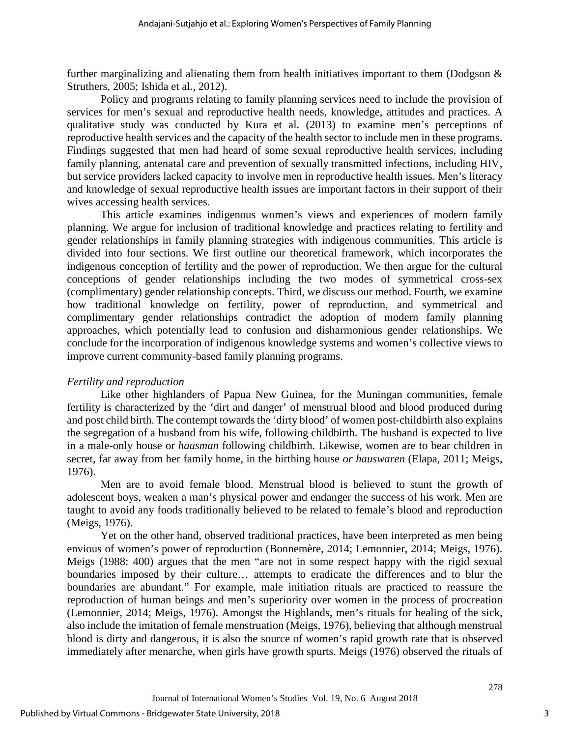further marginalizing and alienating them from health initiatives important to them (Dodgson  $\&$ Struthers, 2005; Ishida et al., 2012).

Policy and programs relating to family planning services need to include the provision of services for men's sexual and reproductive health needs, knowledge, attitudes and practices. A qualitative study was conducted by Kura et al. (2013) to examine men's perceptions of reproductive health services and the capacity of the health sector to include men in these programs. Findings suggested that men had heard of some sexual reproductive health services, including family planning, antenatal care and prevention of sexually transmitted infections, including HIV, but service providers lacked capacity to involve men in reproductive health issues. Men's literacy and knowledge of sexual reproductive health issues are important factors in their support of their wives accessing health services.

This article examines indigenous women's views and experiences of modern family planning. We argue for inclusion of traditional knowledge and practices relating to fertility and gender relationships in family planning strategies with indigenous communities. This article is divided into four sections. We first outline our theoretical framework, which incorporates the indigenous conception of fertility and the power of reproduction. We then argue for the cultural conceptions of gender relationships including the two modes of symmetrical cross-sex (complimentary) gender relationship concepts. Third, we discuss our method. Fourth, we examine how traditional knowledge on fertility, power of reproduction, and symmetrical and complimentary gender relationships contradict the adoption of modern family planning approaches, which potentially lead to confusion and disharmonious gender relationships. We conclude for the incorporation of indigenous knowledge systems and women's collective views to improve current community-based family planning programs.

#### *Fertility and reproduction*

Like other highlanders of Papua New Guinea, for the Muningan communities, female fertility is characterized by the 'dirt and danger' of menstrual blood and blood produced during and post child birth. The contempt towards the 'dirty blood' of women post-childbirth also explains the segregation of a husband from his wife, following childbirth. The husband is expected to live in a male-only house or *hausman* following childbirth. Likewise, women are to bear children in secret, far away from her family home, in the birthing house *or hauswaren* (Elapa, 2011; Meigs, 1976).

Men are to avoid female blood. Menstrual blood is believed to stunt the growth of adolescent boys, weaken a man's physical power and endanger the success of his work. Men are taught to avoid any foods traditionally believed to be related to female's blood and reproduction (Meigs, 1976).

Yet on the other hand, observed traditional practices, have been interpreted as men being envious of women's power of reproduction (Bonnemère, 2014; Lemonnier, 2014; Meigs, 1976). Meigs (1988: 400) argues that the men "are not in some respect happy with the rigid sexual boundaries imposed by their culture… attempts to eradicate the differences and to blur the boundaries are abundant." For example, male initiation rituals are practiced to reassure the reproduction of human beings and men's superiority over women in the process of procreation (Lemonnier, 2014; Meigs, 1976). Amongst the Highlands, men's rituals for healing of the sick, also include the imitation of female menstruation (Meigs, 1976), believing that although menstrual blood is dirty and dangerous, it is also the source of women's rapid growth rate that is observed immediately after menarche, when girls have growth spurts. Meigs (1976) observed the rituals of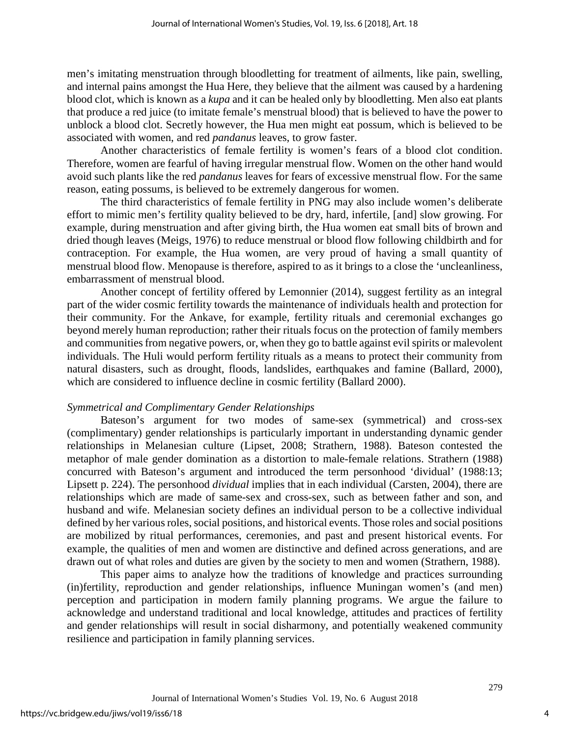men's imitating menstruation through bloodletting for treatment of ailments, like pain, swelling, and internal pains amongst the Hua Here, they believe that the ailment was caused by a hardening blood clot, which is known as a *kupa* and it can be healed only by bloodletting. Men also eat plants that produce a red juice (to imitate female's menstrual blood) that is believed to have the power to unblock a blood clot. Secretly however, the Hua men might eat possum, which is believed to be associated with women, and red *pandanus* leaves, to grow faster.

Another characteristics of female fertility is women's fears of a blood clot condition. Therefore, women are fearful of having irregular menstrual flow. Women on the other hand would avoid such plants like the red *pandanus* leaves for fears of excessive menstrual flow. For the same reason, eating possums, is believed to be extremely dangerous for women.

The third characteristics of female fertility in PNG may also include women's deliberate effort to mimic men's fertility quality believed to be dry, hard, infertile*,* [and] slow growing. For example, during menstruation and after giving birth, the Hua women eat small bits of brown and dried though leaves (Meigs, 1976) to reduce menstrual or blood flow following childbirth and for contraception. For example, the Hua women, are very proud of having a small quantity of menstrual blood flow. Menopause is therefore, aspired to as it brings to a close the 'uncleanliness, embarrassment of menstrual blood.

Another concept of fertility offered by Lemonnier (2014), suggest fertility as an integral part of the wider cosmic fertility towards the maintenance of individuals health and protection for their community. For the Ankave, for example, fertility rituals and ceremonial exchanges go beyond merely human reproduction; rather their rituals focus on the protection of family members and communities from negative powers, or, when they go to battle against evil spirits or malevolent individuals. The Huli would perform fertility rituals as a means to protect their community from natural disasters, such as drought, floods, landslides, earthquakes and famine (Ballard, 2000), which are considered to influence decline in cosmic fertility (Ballard 2000).

#### *Symmetrical and Complimentary Gender Relationships*

Bateson's argument for two modes of same-sex (symmetrical) and cross-sex (complimentary) gender relationships is particularly important in understanding dynamic gender relationships in Melanesian culture (Lipset, 2008; Strathern, 1988). Bateson contested the metaphor of male gender domination as a distortion to male-female relations. Strathern (1988) concurred with Bateson's argument and introduced the term personhood 'dividual' (1988:13; Lipsett p. 224). The personhood *dividual* implies that in each individual (Carsten, 2004), there are relationships which are made of same-sex and cross-sex, such as between father and son, and husband and wife. Melanesian society defines an individual person to be a collective individual defined by her various roles, social positions, and historical events. Those roles and social positions are mobilized by ritual performances, ceremonies, and past and present historical events. For example, the qualities of men and women are distinctive and defined across generations, and are drawn out of what roles and duties are given by the society to men and women (Strathern, 1988).

This paper aims to analyze how the traditions of knowledge and practices surrounding (in)fertility, reproduction and gender relationships, influence Muningan women's (and men) perception and participation in modern family planning programs. We argue the failure to acknowledge and understand traditional and local knowledge, attitudes and practices of fertility and gender relationships will result in social disharmony, and potentially weakened community resilience and participation in family planning services.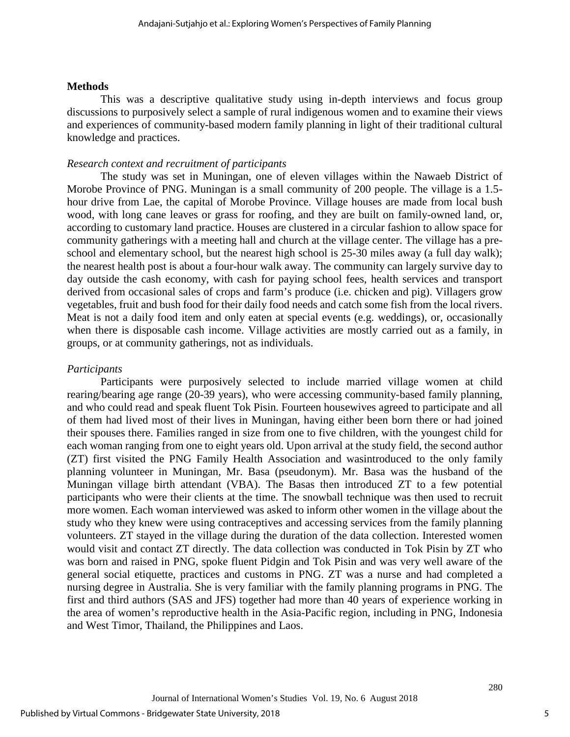#### **Methods**

This was a descriptive qualitative study using in-depth interviews and focus group discussions to purposively select a sample of rural indigenous women and to examine their views and experiences of community-based modern family planning in light of their traditional cultural knowledge and practices.

## *Research context and recruitment of participants*

The study was set in Muningan, one of eleven villages within the Nawaeb District of Morobe Province of PNG. Muningan is a small community of 200 people. The village is a 1.5 hour drive from Lae, the capital of Morobe Province. Village houses are made from local bush wood, with long cane leaves or grass for roofing, and they are built on family-owned land, or, according to customary land practice. Houses are clustered in a circular fashion to allow space for community gatherings with a meeting hall and church at the village center. The village has a preschool and elementary school, but the nearest high school is 25-30 miles away (a full day walk); the nearest health post is about a four-hour walk away. The community can largely survive day to day outside the cash economy, with cash for paying school fees, health services and transport derived from occasional sales of crops and farm's produce (i.e. chicken and pig). Villagers grow vegetables, fruit and bush food for their daily food needs and catch some fish from the local rivers. Meat is not a daily food item and only eaten at special events (e.g. weddings), or, occasionally when there is disposable cash income. Village activities are mostly carried out as a family, in groups, or at community gatherings, not as individuals.

#### *Participants*

Participants were purposively selected to include married village women at child rearing/bearing age range (20-39 years), who were accessing community-based family planning, and who could read and speak fluent Tok Pisin*.* Fourteen housewives agreed to participate and all of them had lived most of their lives in Muningan, having either been born there or had joined their spouses there. Families ranged in size from one to five children, with the youngest child for each woman ranging from one to eight years old. Upon arrival at the study field, the second author (ZT) first visited the PNG Family Health Association and wasintroduced to the only family planning volunteer in Muningan, Mr. Basa (pseudonym). Mr. Basa was the husband of the Muningan village birth attendant (VBA). The Basas then introduced ZT to a few potential participants who were their clients at the time. The snowball technique was then used to recruit more women. Each woman interviewed was asked to inform other women in the village about the study who they knew were using contraceptives and accessing services from the family planning volunteers. ZT stayed in the village during the duration of the data collection. Interested women would visit and contact ZT directly. The data collection was conducted in Tok Pisin by ZT who was born and raised in PNG, spoke fluent Pidgin and Tok Pisin and was very well aware of the general social etiquette, practices and customs in PNG. ZT was a nurse and had completed a nursing degree in Australia. She is very familiar with the family planning programs in PNG. The first and third authors (SAS and JFS) together had more than 40 years of experience working in the area of women's reproductive health in the Asia-Pacific region, including in PNG, Indonesia and West Timor, Thailand, the Philippines and Laos.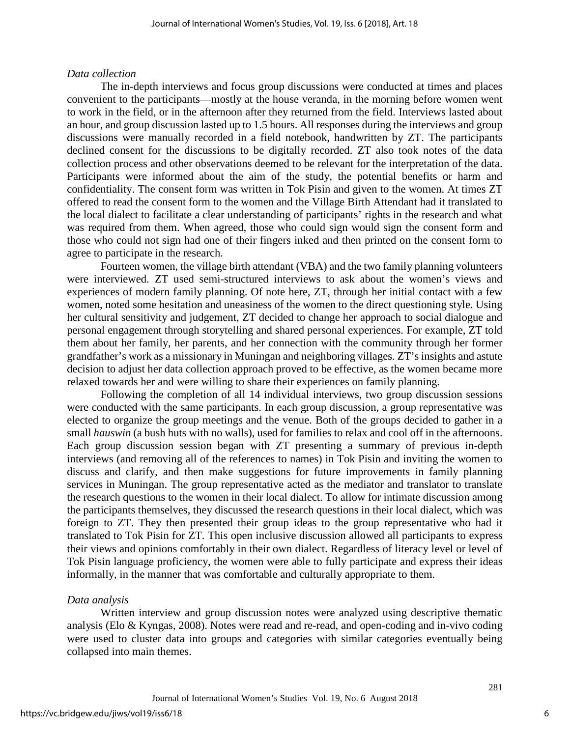#### *Data collection*

The in-depth interviews and focus group discussions were conducted at times and places convenient to the participants—mostly at the house veranda, in the morning before women went to work in the field, or in the afternoon after they returned from the field. Interviews lasted about an hour, and group discussion lasted up to 1.5 hours. All responses during the interviews and group discussions were manually recorded in a field notebook, handwritten by ZT. The participants declined consent for the discussions to be digitally recorded. ZT also took notes of the data collection process and other observations deemed to be relevant for the interpretation of the data. Participants were informed about the aim of the study, the potential benefits or harm and confidentiality. The consent form was written in Tok Pisin and given to the women. At times ZT offered to read the consent form to the women and the Village Birth Attendant had it translated to the local dialect to facilitate a clear understanding of participants' rights in the research and what was required from them. When agreed, those who could sign would sign the consent form and those who could not sign had one of their fingers inked and then printed on the consent form to agree to participate in the research.

Fourteen women, the village birth attendant (VBA) and the two family planning volunteers were interviewed. ZT used semi-structured interviews to ask about the women's views and experiences of modern family planning. Of note here, ZT, through her initial contact with a few women, noted some hesitation and uneasiness of the women to the direct questioning style. Using her cultural sensitivity and judgement, ZT decided to change her approach to social dialogue and personal engagement through storytelling and shared personal experiences. For example, ZT told them about her family, her parents, and her connection with the community through her former grandfather's work as a missionary in Muningan and neighboring villages. ZT's insights and astute decision to adjust her data collection approach proved to be effective, as the women became more relaxed towards her and were willing to share their experiences on family planning.

Following the completion of all 14 individual interviews, two group discussion sessions were conducted with the same participants. In each group discussion, a group representative was elected to organize the group meetings and the venue. Both of the groups decided to gather in a small *hauswin* (a bush huts with no walls), used for families to relax and cool off in the afternoons. Each group discussion session began with ZT presenting a summary of previous in-depth interviews (and removing all of the references to names) in Tok Pisin and inviting the women to discuss and clarify, and then make suggestions for future improvements in family planning services in Muningan. The group representative acted as the mediator and translator to translate the research questions to the women in their local dialect. To allow for intimate discussion among the participants themselves, they discussed the research questions in their local dialect, which was foreign to ZT. They then presented their group ideas to the group representative who had it translated to Tok Pisin for ZT. This open inclusive discussion allowed all participants to express their views and opinions comfortably in their own dialect. Regardless of literacy level or level of Tok Pisin language proficiency, the women were able to fully participate and express their ideas informally, in the manner that was comfortable and culturally appropriate to them.

#### *Data analysis*

Written interview and group discussion notes were analyzed using descriptive thematic analysis (Elo & Kyngas, 2008). Notes were read and re-read, and open-coding and in-vivo coding were used to cluster data into groups and categories with similar categories eventually being collapsed into main themes.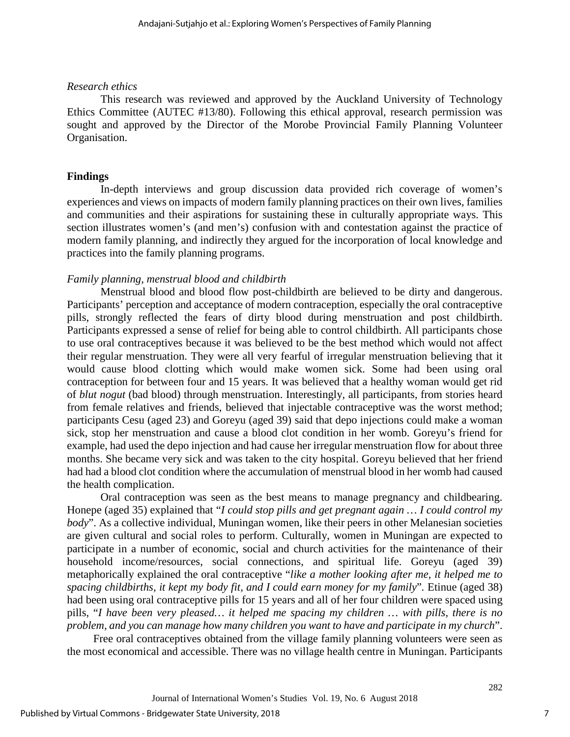### *Research ethics*

This research was reviewed and approved by the Auckland University of Technology Ethics Committee (AUTEC #13/80). Following this ethical approval, research permission was sought and approved by the Director of the Morobe Provincial Family Planning Volunteer Organisation.

## **Findings**

In-depth interviews and group discussion data provided rich coverage of women's experiences and views on impacts of modern family planning practices on their own lives, families and communities and their aspirations for sustaining these in culturally appropriate ways. This section illustrates women's (and men's) confusion with and contestation against the practice of modern family planning, and indirectly they argued for the incorporation of local knowledge and practices into the family planning programs.

## *Family planning, menstrual blood and childbirth*

Menstrual blood and blood flow post-childbirth are believed to be dirty and dangerous. Participants' perception and acceptance of modern contraception, especially the oral contraceptive pills, strongly reflected the fears of dirty blood during menstruation and post childbirth. Participants expressed a sense of relief for being able to control childbirth. All participants chose to use oral contraceptives because it was believed to be the best method which would not affect their regular menstruation. They were all very fearful of irregular menstruation believing that it would cause blood clotting which would make women sick. Some had been using oral contraception for between four and 15 years. It was believed that a healthy woman would get rid of *blut nogut* (bad blood) through menstruation. Interestingly, all participants, from stories heard from female relatives and friends, believed that injectable contraceptive was the worst method; participants Cesu (aged 23) and Goreyu (aged 39) said that depo injections could make a woman sick, stop her menstruation and cause a blood clot condition in her womb. Goreyu's friend for example, had used the depo injection and had cause her irregular menstruation flow for about three months. She became very sick and was taken to the city hospital. Goreyu believed that her friend had had a blood clot condition where the accumulation of menstrual blood in her womb had caused the health complication.

Oral contraception was seen as the best means to manage pregnancy and childbearing. Honepe (aged 35) explained that "*I could stop pills and get pregnant again … I could control my body*". As a collective individual, Muningan women, like their peers in other Melanesian societies are given cultural and social roles to perform. Culturally, women in Muningan are expected to participate in a number of economic, social and church activities for the maintenance of their household income/resources, social connections, and spiritual life. Goreyu (aged 39) metaphorically explained the oral contraceptive "*like a mother looking after me, it helped me to spacing childbirths, it kept my body fit, and I could earn money for my family*"*.* Etinue (aged 38) had been using oral contraceptive pills for 15 years and all of her four children were spaced using pills, "*I have been very pleased… it helped me spacing my children … with pills, there is no problem, and you can manage how many children you want to have and participate in my church*".

Free oral contraceptives obtained from the village family planning volunteers were seen as the most economical and accessible. There was no village health centre in Muningan. Participants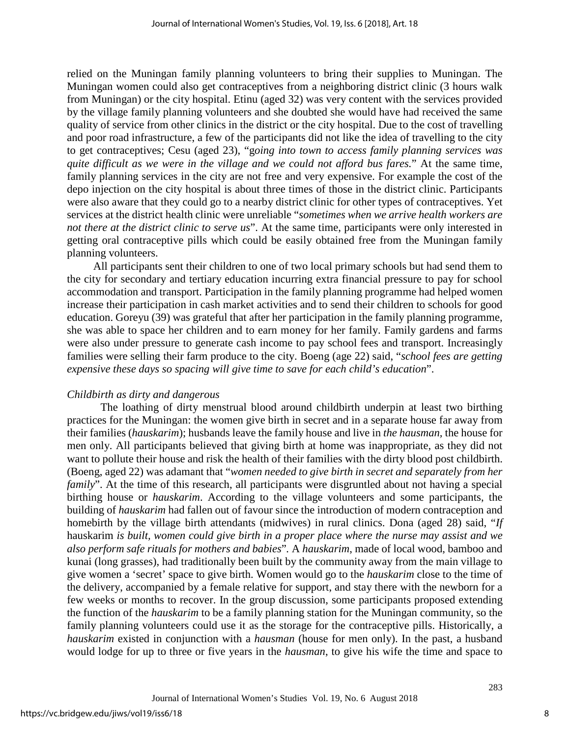relied on the Muningan family planning volunteers to bring their supplies to Muningan. The Muningan women could also get contraceptives from a neighboring district clinic (3 hours walk from Muningan) or the city hospital. Etinu (aged 32) was very content with the services provided by the village family planning volunteers and she doubted she would have had received the same quality of service from other clinics in the district or the city hospital. Due to the cost of travelling and poor road infrastructure, a few of the participants did not like the idea of travelling to the city to get contraceptives; Cesu (aged 23), "g*oing into town to access family planning services was quite difficult as we were in the village and we could not afford bus fares.*" At the same time, family planning services in the city are not free and very expensive. For example the cost of the depo injection on the city hospital is about three times of those in the district clinic. Participants were also aware that they could go to a nearby district clinic for other types of contraceptives. Yet services at the district health clinic were unreliable "*sometimes when we arrive health workers are not there at the district clinic to serve us*". At the same time, participants were only interested in getting oral contraceptive pills which could be easily obtained free from the Muningan family planning volunteers.

All participants sent their children to one of two local primary schools but had send them to the city for secondary and tertiary education incurring extra financial pressure to pay for school accommodation and transport. Participation in the family planning programme had helped women increase their participation in cash market activities and to send their children to schools for good education. Goreyu (39) was grateful that after her participation in the family planning programme, she was able to space her children and to earn money for her family. Family gardens and farms were also under pressure to generate cash income to pay school fees and transport. Increasingly families were selling their farm produce to the city. Boeng (age 22) said, "*school fees are getting expensive these days so spacing will give time to save for each child's education*".

#### *Childbirth as dirty and dangerous*

The loathing of dirty menstrual blood around childbirth underpin at least two birthing practices for the Muningan: the women give birth in secret and in a separate house far away from their families (*hauskarim*); husbands leave the family house and live in *the hausman,* the house for men only. All participants believed that giving birth at home was inappropriate, as they did not want to pollute their house and risk the health of their families with the dirty blood post childbirth. (Boeng, aged 22) was adamant that "*women needed to give birth in secret and separately from her family*". At the time of this research, all participants were disgruntled about not having a special birthing house or *hauskarim*. According to the village volunteers and some participants, the building of *hauskarim* had fallen out of favour since the introduction of modern contraception and homebirth by the village birth attendants (midwives) in rural clinics. Dona (aged 28) said, "*If*  hauskarim *is built, women could give birth in a proper place where the nurse may assist and we also perform safe rituals for mothers and babies*"*.* A *hauskarim*, made of local wood, bamboo and kunai (long grasses), had traditionally been built by the community away from the main village to give women a 'secret' space to give birth. Women would go to the *hauskarim* close to the time of the delivery, accompanied by a female relative for support, and stay there with the newborn for a few weeks or months to recover. In the group discussion, some participants proposed extending the function of the *hauskarim* to be a family planning station for the Muningan community, so the family planning volunteers could use it as the storage for the contraceptive pills. Historically, a *hauskarim* existed in conjunction with a *hausman* (house for men only). In the past, a husband would lodge for up to three or five years in the *hausman*, to give his wife the time and space to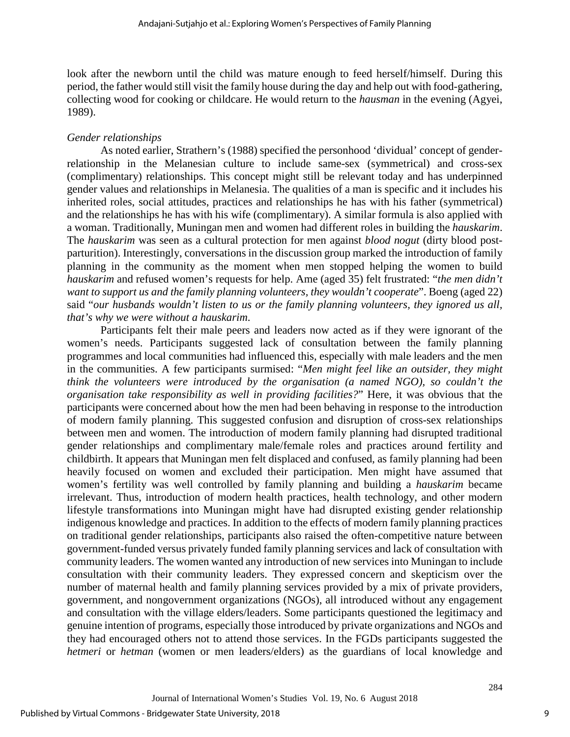look after the newborn until the child was mature enough to feed herself/himself. During this period, the father would still visit the family house during the day and help out with food-gathering, collecting wood for cooking or childcare. He would return to the *hausman* in the evening [\(Agyei,](#page-12-0)  [1989\)](#page-12-0).

#### *Gender relationships*

As noted earlier, Strathern's (1988) specified the personhood 'dividual' concept of genderrelationship in the Melanesian culture to include same-sex (symmetrical) and cross-sex (complimentary) relationships. This concept might still be relevant today and has underpinned gender values and relationships in Melanesia. The qualities of a man is specific and it includes his inherited roles, social attitudes, practices and relationships he has with his father (symmetrical) and the relationships he has with his wife (complimentary). A similar formula is also applied with a woman. Traditionally, Muningan men and women had different roles in building the *hauskarim*. The *hauskarim* was seen as a cultural protection for men against *blood nogut* (dirty blood postparturition). Interestingly, conversations in the discussion group marked the introduction of family planning in the community as the moment when men stopped helping the women to build *hauskarim* and refused women's requests for help. Ame (aged 35) felt frustrated: "*the men didn't want to support us and the family planning volunteers, they wouldn't cooperate*". Boeng (aged 22) said "*our husbands wouldn't listen to us or the family planning volunteers, they ignored us all, that's why we were without a hauskarim*.

Participants felt their male peers and leaders now acted as if they were ignorant of the women's needs. Participants suggested lack of consultation between the family planning programmes and local communities had influenced this, especially with male leaders and the men in the communities. A few participants surmised: "*Men might feel like an outsider, they might think the volunteers were introduced by the organisation (a named NGO), so couldn't the organisation take responsibility as well in providing facilities?*" Here, it was obvious that the participants were concerned about how the men had been behaving in response to the introduction of modern family planning. This suggested confusion and disruption of cross-sex relationships between men and women. The introduction of modern family planning had disrupted traditional gender relationships and complimentary male/female roles and practices around fertility and childbirth. It appears that Muningan men felt displaced and confused, as family planning had been heavily focused on women and excluded their participation. Men might have assumed that women's fertility was well controlled by family planning and building a *hauskarim* became irrelevant. Thus, introduction of modern health practices, health technology, and other modern lifestyle transformations into Muningan might have had disrupted existing gender relationship indigenous knowledge and practices. In addition to the effects of modern family planning practices on traditional gender relationships, participants also raised the often-competitive nature between government-funded versus privately funded family planning services and lack of consultation with community leaders. The women wanted any introduction of new services into Muningan to include consultation with their community leaders. They expressed concern and skepticism over the number of maternal health and family planning services provided by a mix of private providers, government, and nongovernment organizations (NGOs), all introduced without any engagement and consultation with the village elders/leaders. Some participants questioned the legitimacy and genuine intention of programs, especially those introduced by private organizations and NGOs and they had encouraged others not to attend those services. In the FGDs participants suggested the *hetmeri* or *hetman* (women or men leaders/elders) as the guardians of local knowledge and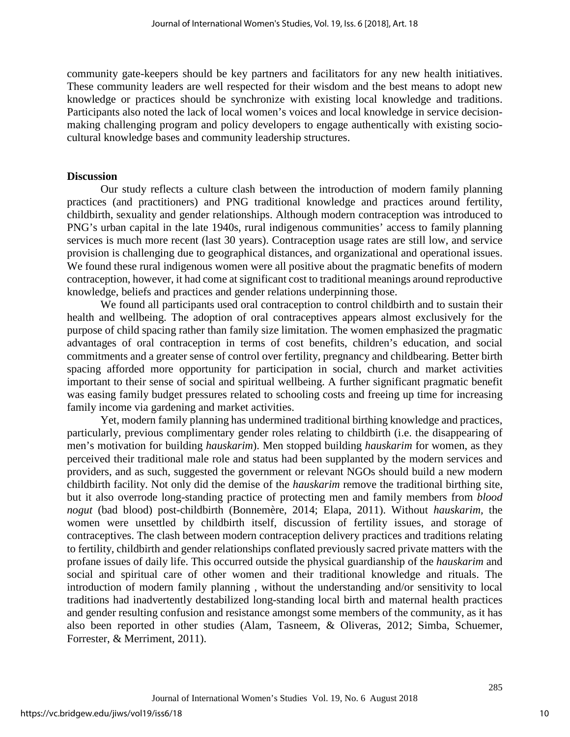community gate-keepers should be key partners and facilitators for any new health initiatives. These community leaders are well respected for their wisdom and the best means to adopt new knowledge or practices should be synchronize with existing local knowledge and traditions. Participants also noted the lack of local women's voices and local knowledge in service decisionmaking challenging program and policy developers to engage authentically with existing sociocultural knowledge bases and community leadership structures.

#### **Discussion**

Our study reflects a culture clash between the introduction of modern family planning practices (and practitioners) and PNG traditional knowledge and practices around fertility, childbirth, sexuality and gender relationships. Although modern contraception was introduced to PNG's urban capital in the late 1940s, rural indigenous communities' access to family planning services is much more recent (last 30 years). Contraception usage rates are still low, and service provision is challenging due to geographical distances, and organizational and operational issues. We found these rural indigenous women were all positive about the pragmatic benefits of modern contraception, however, it had come at significant cost to traditional meanings around reproductive knowledge, beliefs and practices and gender relations underpinning those.

We found all participants used oral contraception to control childbirth and to sustain their health and wellbeing. The adoption of oral contraceptives appears almost exclusively for the purpose of child spacing rather than family size limitation. The women emphasized the pragmatic advantages of oral contraception in terms of cost benefits, children's education, and social commitments and a greater sense of control over fertility, pregnancy and childbearing. Better birth spacing afforded more opportunity for participation in social, church and market activities important to their sense of social and spiritual wellbeing. A further significant pragmatic benefit was easing family budget pressures related to schooling costs and freeing up time for increasing family income via gardening and market activities.

Yet, modern family planning has undermined traditional birthing knowledge and practices, particularly, previous complimentary gender roles relating to childbirth (i.e. the disappearing of men's motivation for building *hauskarim*). Men stopped building *hauskarim* for women, as they perceived their traditional male role and status had been supplanted by the modern services and providers, and as such, suggested the government or relevant NGOs should build a new modern childbirth facility. Not only did the demise of the *hauskarim* remove the traditional birthing site, but it also overrode long-standing practice of protecting men and family members from *blood nogut* (bad blood) post-childbirth (Bonnemère, 2014; Elapa, 2011). Without *hauskarim,* the women were unsettled by childbirth itself, discussion of fertility issues, and storage of contraceptives. The clash between modern contraception delivery practices and traditions relating to fertility, childbirth and gender relationships conflated previously sacred private matters with the profane issues of daily life. This occurred outside the physical guardianship of the *hauskarim* and social and spiritual care of other women and their traditional knowledge and rituals. The introduction of modern family planning , without the understanding and/or sensitivity to local traditions had inadvertently destabilized long-standing local birth and maternal health practices and gender resulting confusion and resistance amongst some members of the community, as it has also been reported in other studies (Alam, Tasneem, & Oliveras, 2012; Simba, Schuemer, Forrester, & Merriment, 2011).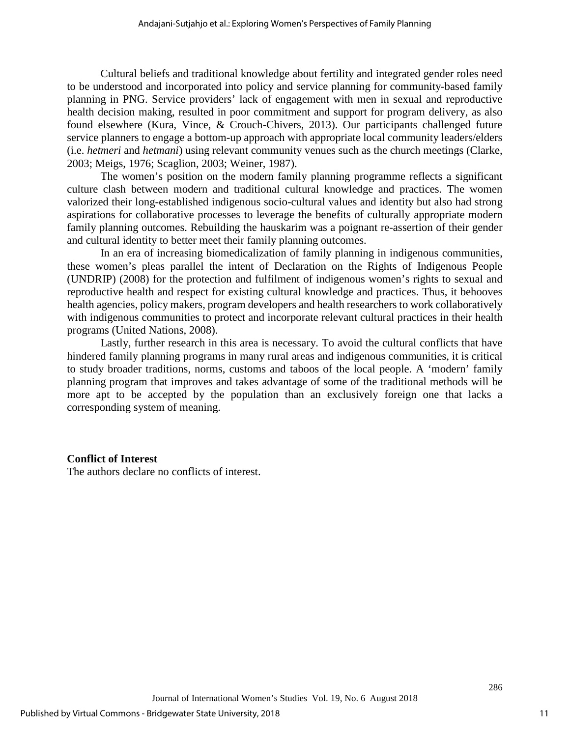Cultural beliefs and traditional knowledge about fertility and integrated gender roles need to be understood and incorporated into policy and service planning for community-based family planning in PNG. Service providers' lack of engagement with men in sexual and reproductive health decision making, resulted in poor commitment and support for program delivery, as also found elsewhere (Kura, Vince, & Crouch-Chivers, 2013). Our participants challenged future service planners to engage a bottom-up approach with appropriate local community leaders/elders (i.e. *hetmeri* and *hetmani*) using relevant community venues such as the church meetings (Clarke, 2003; Meigs, 1976; Scaglion, 2003; Weiner, 1987).

The women's position on the modern family planning programme reflects a significant culture clash between modern and traditional cultural knowledge and practices. The women valorized their long-established indigenous socio-cultural values and identity but also had strong aspirations for collaborative processes to leverage the benefits of culturally appropriate modern family planning outcomes. Rebuilding the hauskarim was a poignant re-assertion of their gender and cultural identity to better meet their family planning outcomes.

In an era of increasing biomedicalization of family planning in indigenous communities, these women's pleas parallel the intent of Declaration on the Rights of Indigenous People (UNDRIP) (2008) for the protection and fulfilment of indigenous women's rights to sexual and reproductive health and respect for existing cultural knowledge and practices. Thus, it behooves health agencies, policy makers, program developers and health researchers to work collaboratively with indigenous communities to protect and incorporate relevant cultural practices in their health programs (United Nations, 2008).

Lastly, further research in this area is necessary. To avoid the cultural conflicts that have hindered family planning programs in many rural areas and indigenous communities, it is critical to study broader traditions, norms, customs and taboos of the local people. A 'modern' family planning program that improves and takes advantage of some of the traditional methods will be more apt to be accepted by the population than an exclusively foreign one that lacks a corresponding system of meaning.

#### **Conflict of Interest**

The authors declare no conflicts of interest.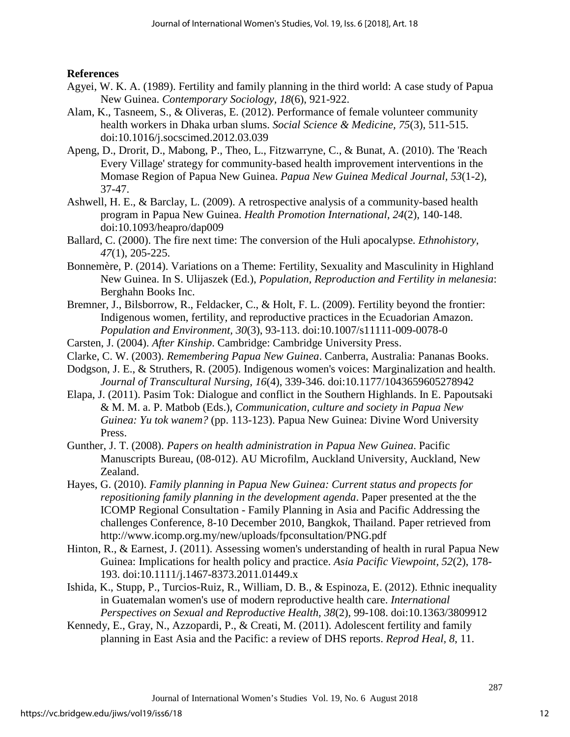**References**

- <span id="page-12-0"></span>Agyei, W. K. A. (1989). Fertility and family planning in the third world: A case study of Papua New Guinea. *Contemporary Sociology, 18*(6), 921-922.
- Alam, K., Tasneem, S., & Oliveras, E. (2012). Performance of female volunteer community health workers in Dhaka urban slums. *Social Science & Medicine, 75*(3), 511-515. doi:10.1016/j.socscimed.2012.03.039
- Apeng, D., Drorit, D., Mabong, P., Theo, L., Fitzwarryne, C., & Bunat, A. (2010). The 'Reach Every Village' strategy for community-based health improvement interventions in the Momase Region of Papua New Guinea. *Papua New Guinea Medical Journal, 53*(1-2), 37-47.
- Ashwell, H. E., & Barclay, L. (2009). A retrospective analysis of a community-based health program in Papua New Guinea. *Health Promotion International, 24*(2), 140-148. doi:10.1093/heapro/dap009
- Ballard, C. (2000). The fire next time: The conversion of the Huli apocalypse. *Ethnohistory, 47*(1), 205-225.
- Bonnemère, P. (2014). Variations on a Theme: Fertility, Sexuality and Masculinity in Highland New Guinea. In S. Ulijaszek (Ed.), *Population, Reproduction and Fertility in melanesia*: Berghahn Books Inc.
- Bremner, J., Bilsborrow, R., Feldacker, C., & Holt, F. L. (2009). Fertility beyond the frontier: Indigenous women, fertility, and reproductive practices in the Ecuadorian Amazon. *Population and Environment, 30*(3), 93-113. doi:10.1007/s11111-009-0078-0
- Carsten, J. (2004). *After Kinship*. Cambridge: Cambridge University Press.
- Clarke, C. W. (2003). *Remembering Papua New Guinea*. Canberra, Australia: Pananas Books.
- Dodgson, J. E., & Struthers, R. (2005). Indigenous women's voices: Marginalization and health. *Journal of Transcultural Nursing, 16*(4), 339-346. doi:10.1177/1043659605278942
- Elapa, J. (2011). Pasim Tok: Dialogue and conflict in the Southern Highlands. In E. Papoutsaki & M. M. a. P. Matbob (Eds.), *Communication, culture and society in Papua New Guinea: Yu tok wanem?* (pp. 113-123). Papua New Guinea: Divine Word University Press.
- Gunther, J. T. (2008). *Papers on health administration in Papua New Guinea*. Pacific Manuscripts Bureau, (08-012). AU Microfilm, Auckland University, Auckland, New Zealand.
- Hayes, G. (2010). *Family planning in Papua New Guinea: Current status and propects for repositioning family planning in the development agenda*. Paper presented at the the ICOMP Regional Consultation - Family Planning in Asia and Pacific Addressing the challenges Conference, 8-10 December 2010, Bangkok, Thailand. Paper retrieved from http://www.icomp.org.my/new/uploads/fpconsultation/PNG.pdf
- Hinton, R., & Earnest, J. (2011). Assessing women's understanding of health in rural Papua New Guinea: Implications for health policy and practice. *Asia Pacific Viewpoint, 52*(2), 178- 193. doi:10.1111/j.1467-8373.2011.01449.x
- Ishida, K., Stupp, P., Turcios-Ruiz, R., William, D. B., & Espinoza, E. (2012). Ethnic inequality in Guatemalan women's use of modern reproductive health care. *International Perspectives on Sexual and Reproductive Health, 38*(2), 99-108. doi:10.1363/3809912
- Kennedy, E., Gray, N., Azzopardi, P., & Creati, M. (2011). Adolescent fertility and family planning in East Asia and the Pacific: a review of DHS reports. *Reprod Heal, 8*, 11.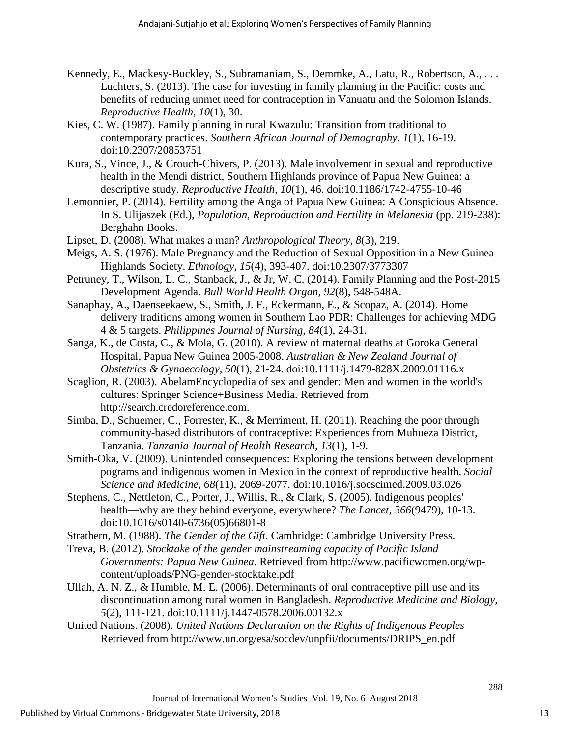- Kennedy, E., Mackesy-Buckley, S., Subramaniam, S., Demmke, A., Latu, R., Robertson, A., ... Luchters, S. (2013). The case for investing in family planning in the Pacific: costs and benefits of reducing unmet need for contraception in Vanuatu and the Solomon Islands. *Reproductive Health, 10*(1), 30.
- Kies, C. W. (1987). Family planning in rural Kwazulu: Transition from traditional to contemporary practices. *Southern African Journal of Demography, 1*(1), 16-19. doi:10.2307/20853751
- Kura, S., Vince, J., & Crouch-Chivers, P. (2013). Male involvement in sexual and reproductive health in the Mendi district, Southern Highlands province of Papua New Guinea: a descriptive study. *Reproductive Health, 10*(1), 46. doi:10.1186/1742-4755-10-46
- Lemonnier, P. (2014). Fertility among the Anga of Papua New Guinea: A Conspicious Absence. In S. Ulijaszek (Ed.), *Population, Reproduction and Fertility in Melanesia* (pp. 219-238): Berghahn Books.
- Lipset, D. (2008). What makes a man? *Anthropological Theory, 8*(3), 219.
- Meigs, A. S. (1976). Male Pregnancy and the Reduction of Sexual Opposition in a New Guinea Highlands Society. *Ethnology, 15*(4), 393-407. doi:10.2307/3773307
- Petruney, T., Wilson, L. C., Stanback, J., & Jr, W. C. (2014). Family Planning and the Post-2015 Development Agenda. *Bull World Health Organ, 92*(8), 548-548A.
- Sanaphay, A., Daenseekaew, S., Smith, J. F., Eckermann, E., & Scopaz, A. (2014). Home delivery traditions among women in Southern Lao PDR: Challenges for achieving MDG 4 & 5 targets. *Philippines Journal of Nursing, 84*(1), 24-31.
- Sanga, K., de Costa, C., & Mola, G. (2010). A review of maternal deaths at Goroka General Hospital, Papua New Guinea 2005-2008. *Australian & New Zealand Journal of Obstetrics & Gynaecology, 50*(1), 21-24. doi:10.1111/j.1479-828X.2009.01116.x
- Scaglion, R. (2003). AbelamEncyclopedia of sex and gender: Men and women in the world's cultures: Springer Science+Business Media. Retrieved from http://search.credoreference.com.
- Simba, D., Schuemer, C., Forrester, K., & Merriment, H. (2011). Reaching the poor through community-based distributors of contraceptive: Experiences from Muhueza District, Tanzania. *Tanzania Journal of Health Research, 13*(1), 1-9.
- Smith-Oka, V. (2009). Unintended consequences: Exploring the tensions between development pograms and indigenous women in Mexico in the context of reproductive health. *Social Science and Medicine, 68*(11), 2069-2077. doi:10.1016/j.socscimed.2009.03.026
- Stephens, C., Nettleton, C., Porter, J., Willis, R., & Clark, S. (2005). Indigenous peoples' health—why are they behind everyone, everywhere? *The Lancet, 366*(9479), 10-13. doi:10.1016/s0140-6736(05)66801-8
- Strathern, M. (1988). *The Gender of the Gift*. Cambridge: Cambridge University Press.
- Treva, B. (2012). *Stocktake of the gender mainstreaming capacity of Pacific Island Governments: Papua New Guinea.* Retrieved from http://www.pacificwomen.org/wpcontent/uploads/PNG-gender-stocktake.pdf
- Ullah, A. N. Z., & Humble, M. E. (2006). Determinants of oral contraceptive pill use and its discontinuation among rural women in Bangladesh. *Reproductive Medicine and Biology, 5*(2), 111-121. doi:10.1111/j.1447-0578.2006.00132.x
- United Nations. (2008). *United Nations Declaration on the Rights of Indigenous Peoples*  Retrieved from http://www.un.org/esa/socdev/unpfii/documents/DRIPS\_en.pdf